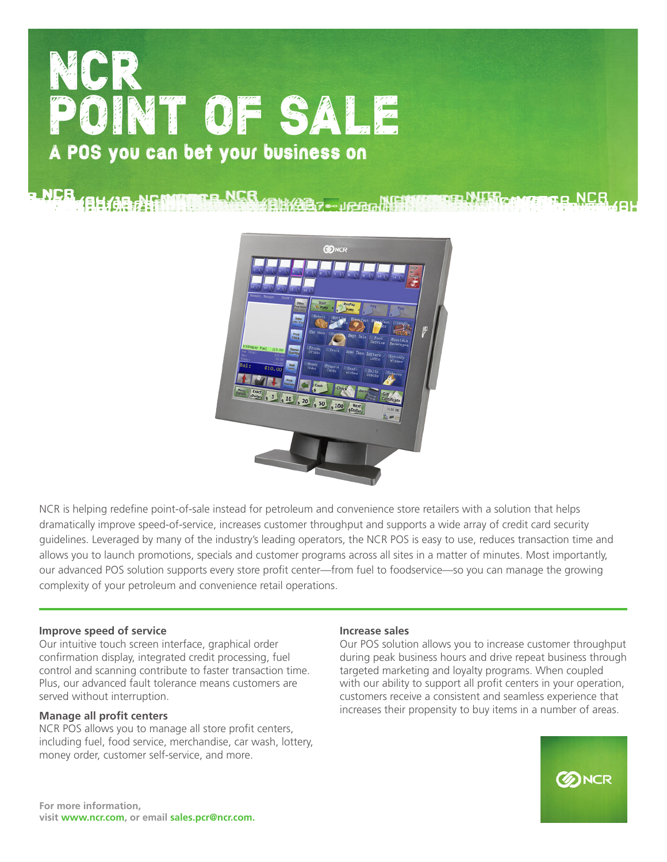# NCR POINT OF SALE POS you can bet your business on



6日 时代语义 ◎ □ 记品品

NCR is helping redefine point-of-sale instead for petroleum and convenience store retailers with a solution that helps dramatically improve speed-of-service, increases customer throughput and supports a wide array of credit card security guidelines. Leveraged by many of the industry's leading operators, the NCR POS is easy to use, reduces transaction time and allows you to launch promotions, specials and customer programs across all sites in a matter of minutes. Most importantly, our advanced POS solution supports every store profit center—from fuel to foodservice—so you can manage the growing complexity of your petroleum and convenience retail operations.

## **Improve speed of service**

<u>NÇR</u>

相比佛社

Our intuitive touch screen interface, graphical order confirmation display, integrated credit processing, fuel control and scanning contribute to faster transaction time. Plus, our advanced fault tolerance means customers are served without interruption.

## **Manage all profit centers**

NCR POS allows you to manage all store profit centers, including fuel, food service, merchandise, car wash, lottery, money order, customer self-service, and more.

# **Increase sales**

Our POS solution allows you to increase customer throughput during peak business hours and drive repeat business through targeted marketing and loyalty programs. When coupled with our ability to support all profit centers in your operation, customers receive a consistent and seamless experience that increases their propensity to buy items in a number of areas.